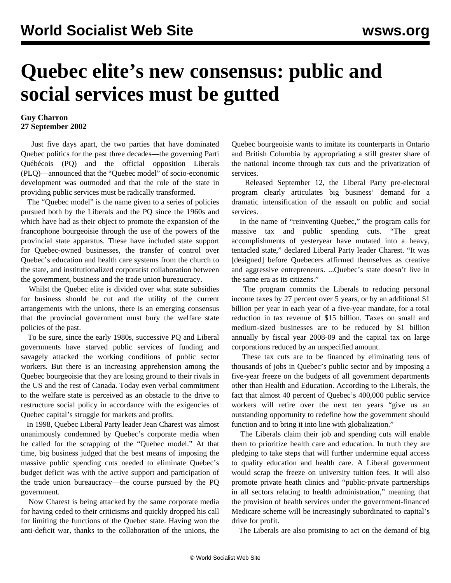## **Quebec elite's new consensus: public and social services must be gutted**

## **Guy Charron 27 September 2002**

 Just five days apart, the two parties that have dominated Quebec politics for the past three decades—the governing Parti Québécois (PQ) and the official opposition Liberals (PLQ)—announced that the "Quebec model" of socio-economic development was outmoded and that the role of the state in providing public services must be radically transformed.

 The "Quebec model" is the name given to a series of policies pursued both by the Liberals and the PQ since the 1960s and which have had as their object to promote the expansion of the francophone bourgeoisie through the use of the powers of the provincial state apparatus. These have included state support for Quebec-owned businesses, the transfer of control over Quebec's education and health care systems from the church to the state, and institutionalized corporatist collaboration between the government, business and the trade union bureaucracy.

 Whilst the Quebec elite is divided over what state subsidies for business should be cut and the utility of the current arrangements with the unions, there is an emerging consensus that the provincial government must bury the welfare state policies of the past.

 To be sure, since the early 1980s, successive PQ and Liberal governments have starved public services of funding and savagely attacked the working conditions of public sector workers. But there is an increasing apprehension among the Quebec bourgeoisie that they are losing ground to their rivals in the US and the rest of Canada. Today even verbal commitment to the welfare state is perceived as an obstacle to the drive to restructure social policy in accordance with the exigencies of Quebec capital's struggle for markets and profits.

 In 1998, Quebec Liberal Party leader Jean Charest was almost unanimously condemned by Quebec's corporate media when he called for the scrapping of the "Quebec model." At that time, big business judged that the best means of imposing the massive public spending cuts needed to eliminate Quebec's budget deficit was with the active support and participation of the trade union bureaucracy—the course pursued by the PQ government.

 Now Charest is being attacked by the same corporate media for having ceded to their criticisms and quickly dropped his call for limiting the functions of the Quebec state. Having won the anti-deficit war, thanks to the collaboration of the unions, the Quebec bourgeoisie wants to imitate its counterparts in Ontario and British Columbia by appropriating a still greater share of the national income through tax cuts and the privatization of services.

 Released September 12, the Liberal Party pre-electoral program clearly articulates big business' demand for a dramatic intensification of the assault on public and social services.

 In the name of "reinventing Quebec," the program calls for massive tax and public spending cuts. "The great accomplishments of yesteryear have mutated into a heavy, tentacled state," declared Liberal Party leader Charest. "It was [designed] before Quebecers affirmed themselves as creative and aggressive entrepreneurs. ...Quebec's state doesn't live in the same era as its citizens."

 The program commits the Liberals to reducing personal income taxes by 27 percent over 5 years, or by an additional \$1 billion per year in each year of a five-year mandate, for a total reduction in tax revenue of \$15 billion. Taxes on small and medium-sized businesses are to be reduced by \$1 billion annually by fiscal year 2008-09 and the capital tax on large corporations reduced by an unspecified amount.

 These tax cuts are to be financed by eliminating tens of thousands of jobs in Quebec's public sector and by imposing a five-year freeze on the budgets of all government departments other than Health and Education. According to the Liberals, the fact that almost 40 percent of Quebec's 400,000 public service workers will retire over the next ten years "give us an outstanding opportunity to redefine how the government should function and to bring it into line with globalization."

 The Liberals claim their job and spending cuts will enable them to prioritize health care and education. In truth they are pledging to take steps that will further undermine equal access to quality education and health care. A Liberal government would scrap the freeze on university tuition fees. It will also promote private heath clinics and "public-private partnerships in all sectors relating to health administration," meaning that the provision of health services under the government-financed Medicare scheme will be increasingly subordinated to capital's drive for profit.

The Liberals are also promising to act on the demand of big